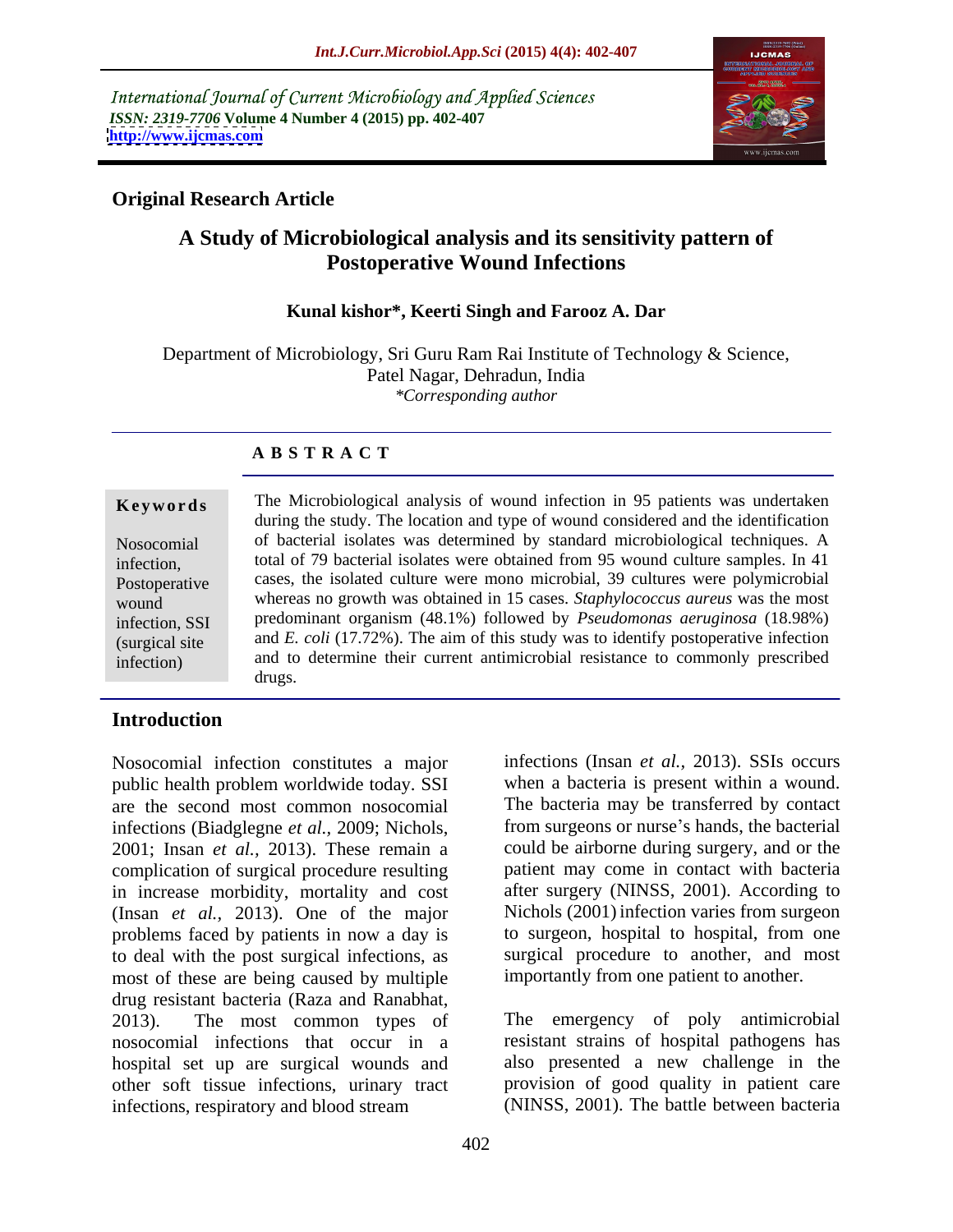International Journal of Current Microbiology and Applied Sciences *ISSN: 2319-7706* **Volume 4 Number 4 (2015) pp. 402-407 <http://www.ijcmas.com>**



# **Original Research Article**

# **A Study of Microbiological analysis and its sensitivity pattern of Postoperative Wound Infections**

### **Kunal kishor\*, Keerti Singh and Farooz A. Dar**

Department of Microbiology, Sri Guru Ram Rai Institute of Technology & Science, Patel Nagar, Dehradun, India *\*Corresponding author*

## **A B S T R A C T**

infection)

**Keywords** The Microbiological analysis of wound infection in 95 patients was undertaken during the study. The location and type of wound considered and the identification of bacterial isolates was determined by standard microbiological techniques. A Nosocomial total of 79 bacterial isolates were obtained from 95 wound culture samples. In 41 infection, cases, the isolated culture were mono microbial, 39 cultures were polymicrobial Postoperative wound whereas no growth was obtained in 15 cases. *Staphylococcus aureus* was the most predominant organism (48.1%) followed by *Pseudomonas aeruginosa* (18.98%) infection, SSI (surgical site and *E. coli* (17.72%). The aim of this study was to identify postoperative infection and to determine their current antimicrobial resistance to commonly prescribed drugs. The contract of the contract of the contract of the contract of the contract of the contract of the contract of the contract of the contract of the contract of the contract of the contract of the contract of the con

## **Introduction**

Nosocomial infection constitutes a major public health problem worldwide today. SSI are the second most common nosocomial infections (Biadglegne *et al.*, 2009; Nichols, from surgeons or nurse's hands, the bacterial 2001; Insan *et al.*, 2013). These remain a could be airborne during surgery, and or the complication of surgical procedure resulting in increase morbidity, mortality and cost (Insan *et al.,* 2013). One of the major problems faced by patients in now a day is to deal with the post surgical infections, as most of these are being caused by multiple drug resistant bacteria (Raza and Ranabhat,<br>2013). The most common types of The emergency of poly antimicrobial nosocomial infections that occur in a hospital set up are surgical wounds and also presented a new challenge in the other soft tissue infections, urinary tract infections, respiratory and blood stream

infections (Insan *et al.,* 2013). SSIs occurs when a bacteria is present within a wound. The bacteria may be transferred by contact from surgeons or nurse's hands, the bacterial could be airborne during surgery, and or the patient may come in contact with bacteria after surgery (NINSS, 2001). According to Nichols (2001) infection varies from surgeon to surgeon, hospital to hospital, from one surgical procedure to another, and most importantly from one patient to another.

The emergency of poly antimicrobial resistant strains of hospital pathogens has provision of good quality in patient care (NINSS, 2001). The battle between bacteria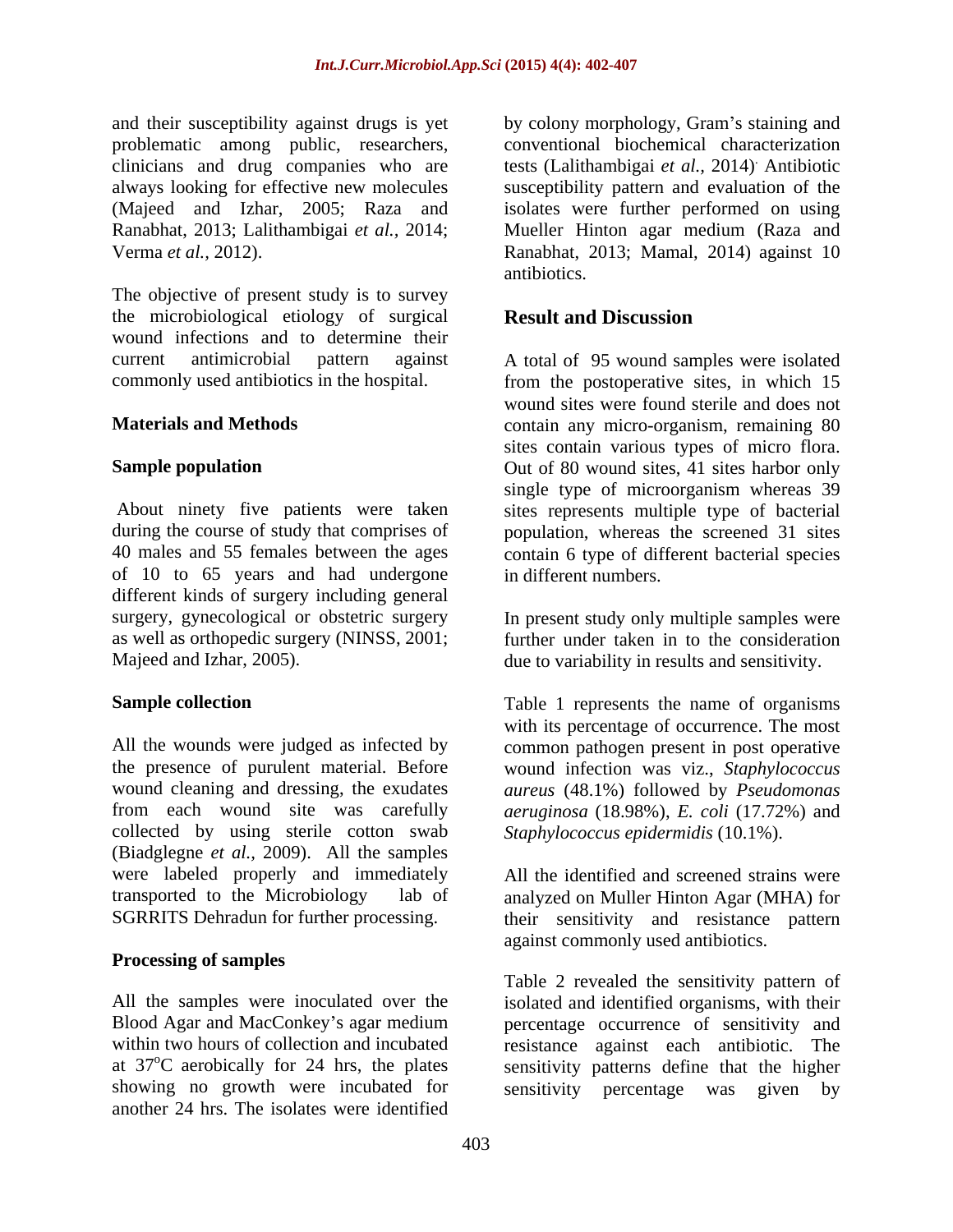and their susceptibility against drugs is yet by colony morphology, Gram's staining and problematic among public, researchers, clinicians and drug companies who are always looking for effective new molecules susceptibility pattern and evaluation of the (Majeed and Izhar, 2005; Raza and isolates were further performed on using Ranabhat, 2013; Lalithambigai *et al.,* 2014; Mueller Hinton agar medium (Raza and Verma *et al.,* 2012). Ranabhat, 2013; Mamal, 2014) against 10

The objective of present study is to survey the microbiological etiology of surgical **Result and Discussion** wound infections and to determine their

of 10 to 65 years and had undergone different kinds of surgery including general surgery, gynecological or obstetric surgery In present study only multiple samples were as well as orthopedic surgery (NINSS, 2001; further under taken in to the consideration

All the wounds were judged as infected by common pathogen present in post operative the presence of purulent material. Before wound infection was viz., *Staphylococcus* wound cleaning and dressing, the exudates *aureus* (48.1%) followed by *Pseudomonas*  from each wound site was carefully *aeruginosa* (18.98%), *E. coli* (17.72%) and collected by using sterile cotton swab (Biadglegne *et al.,* 2009). All the samples were labeled properly and immediately All the identified and screened strains were transported to the Microbiology lab of analyzed on Muller Hinton Agar (MHA) for

### **Processing of samples**

All the samples were inoculated over the isolated and identified organisms, with their Blood Agar and MacConkey s agar medium percentage occurrence of sensitivity and within two hours of collection and incubated resistance against each antibiotic. The at 37<sup>o</sup>C aerobically for 24 hrs, the plates sensitivity patterns define that the higher showing no growth were incubated for sensitivity percentage was given byanother 24 hrs. The isolates were identified

conventional biochemical characterization tests (Lalithambigai *et al.,* 2014) . Antibiotic antibiotics.

# **Result and Discussion**

current antimicrobial pattern against A total of 95 wound samples were isolated commonly used antibiotics in the hospital. from the postoperative sites, in which 15 **Materials and Methods** contain any micro-organism, remaining 80 **Sample population** Out of 80 wound sites, 41 sites harbor only About ninety five patients were taken sites represents multiple type of bacterial during the course of study that comprises of population, whereas the screened 31 sites 40 males and 55 females between the ages contain 6 type of different bacterial species wound sites were found sterile and does not sites contain various types of micro flora. single type of microorganism whereas 39 in different numbers.

Majeed and Izhar, 2005). due to variability in results and sensitivity.

**Sample collection** with its percentage of occurrence. The most *Staphylococcus epidermidis* (10.1%).

SGRRITS Dehradun for further processing. their sensitivity and resistance pattern against commonly used antibiotics.

Table 2 revealed the sensitivity pattern of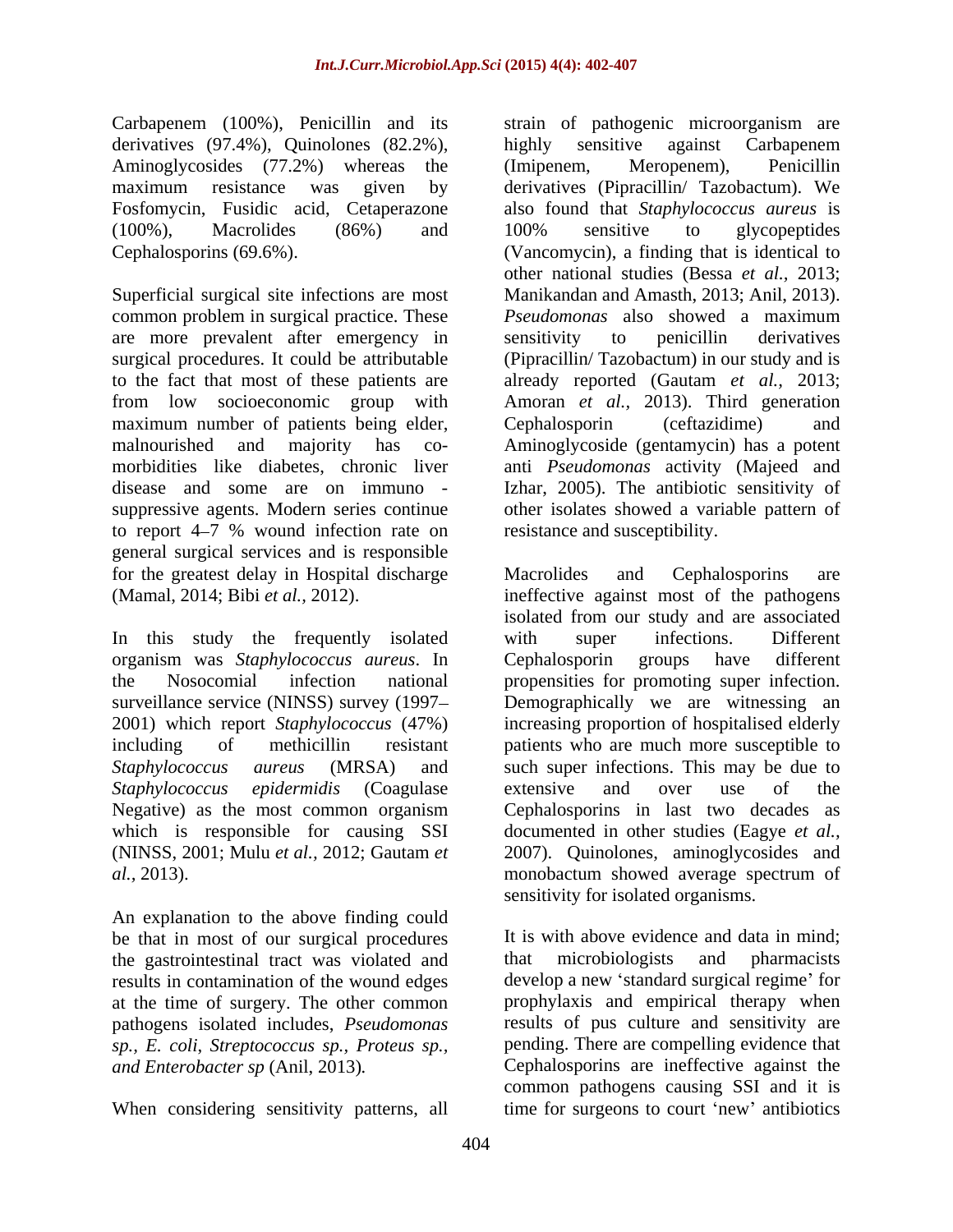Carbapenem (100%), Penicillin and its derivatives (97.4%), Quinolones (82.2%), Aminoglycosides (77.2%) whereas the (Imipenem, Meropenem), Penicillin

Superficial surgical site infections are most common problem in surgical practice. These are more prevalent after emergency in sensitivity to penicillin derivatives maximum number of patients being elder, Cephalosporin (ceftazidime) and to report  $4-7$  % wound infection rate on general surgical services and is responsible for the greatest delay in Hospital discharge Macrolides and Cephalosporins are

In this study the frequently isolated with super infections. Different organism was *Staphylococcus aureus*. In surveillance service (NINSS) survey (1997 Negative) as the most common organism *al.,* 2013).

An explanation to the above finding could be that in most of our surgical procedures It is with above evidenties the gastrointestinal tract was violated and that microbiologists the gastrointestinal tract was violated and results in contamination of the wound edges at the time of surgery. The other common pathogens isolated includes, *Pseudomonas* 

When considering sensitivity patterns, all time for surgeons to court 'new' antibiotics

maximum resistance was given by derivatives (Pipracillin/ Tazobactum). We Fosfomycin, Fusidic acid, Cetaperazone also found that *Staphylococcus aureus* is (100%), Macrolides (86%) and Cephalosporins (69.6%). (Vancomycin), a finding that is identical to surgical procedures. It could be attributable (Pipracillin/ Tazobactum) in our study and is to the fact that most of these patients are already reported (Gautam *et al.,* 2013; from low socioeconomic group with Amoran *et al.,* 2013). Third generation malnourished and majority has co- Aminoglycoside (gentamycin) has a potent morbidities like diabetes, chronic liver anti *Pseudomonas* activity (Majeed and disease and some are on immuno - Izhar, 2005). The antibiotic sensitivity of suppressive agents. Modern series continue other isolates showed a variable pattern of strain of pathogenic microorganism are highly sensitive against Carbapenem (Imipenem, Meropenem), Penicillin 100% sensitive to glycopeptides other national studies (Bessa *et al.,* 2013; Manikandan and Amasth, 2013; Anil, 2013). *Pseudomonas* also showed a maximum sensitivity to penicillin derivatives Cephalosporin (ceftazidime) and resistance and susceptibility.

(Mamal, 2014; Bibi *et al.*, 2012). ineffective against most of the pathogens the Nosocomial infection national propensities for promoting super infection. 2001) which report *Staphylococcus* (47%) increasing proportion of hospitalised elderly including of methicillin resistant patients who are much more susceptible to *Staphylococcus aureus* (MRSA) and such super infections. This may be due to *Staphylococcus epidermidis* (Coagulase which is responsible for causing SSI documented in other studies (Eagye *et al.,* (NINSS, 2001; Mulu *et al.,* 2012; Gautam *et*  2007). Quinolones, aminoglycosides and Macrolides and Cephalosporins are isolated from our study and are associated with super infections. Different Cephalosporin groups have different Demographically we are witnessing an extensive and over use of the Cephalosporins in last two decades as monobactum showed average spectrum of sensitivity for isolated organisms.

*sp., E. coli*, *Streptococcus sp., Proteus sp.,* pending. There are compelling evidence that *and Enterobacter sp* (Anil, 2013)*.* Cephalosporins are ineffective against the It is with above evidence and data in mind; that microbiologists and pharmacists develop a new 'standard surgical regime' for prophylaxis and empirical therapy when results of pus culture and sensitivity are common pathogens causing SSI and it is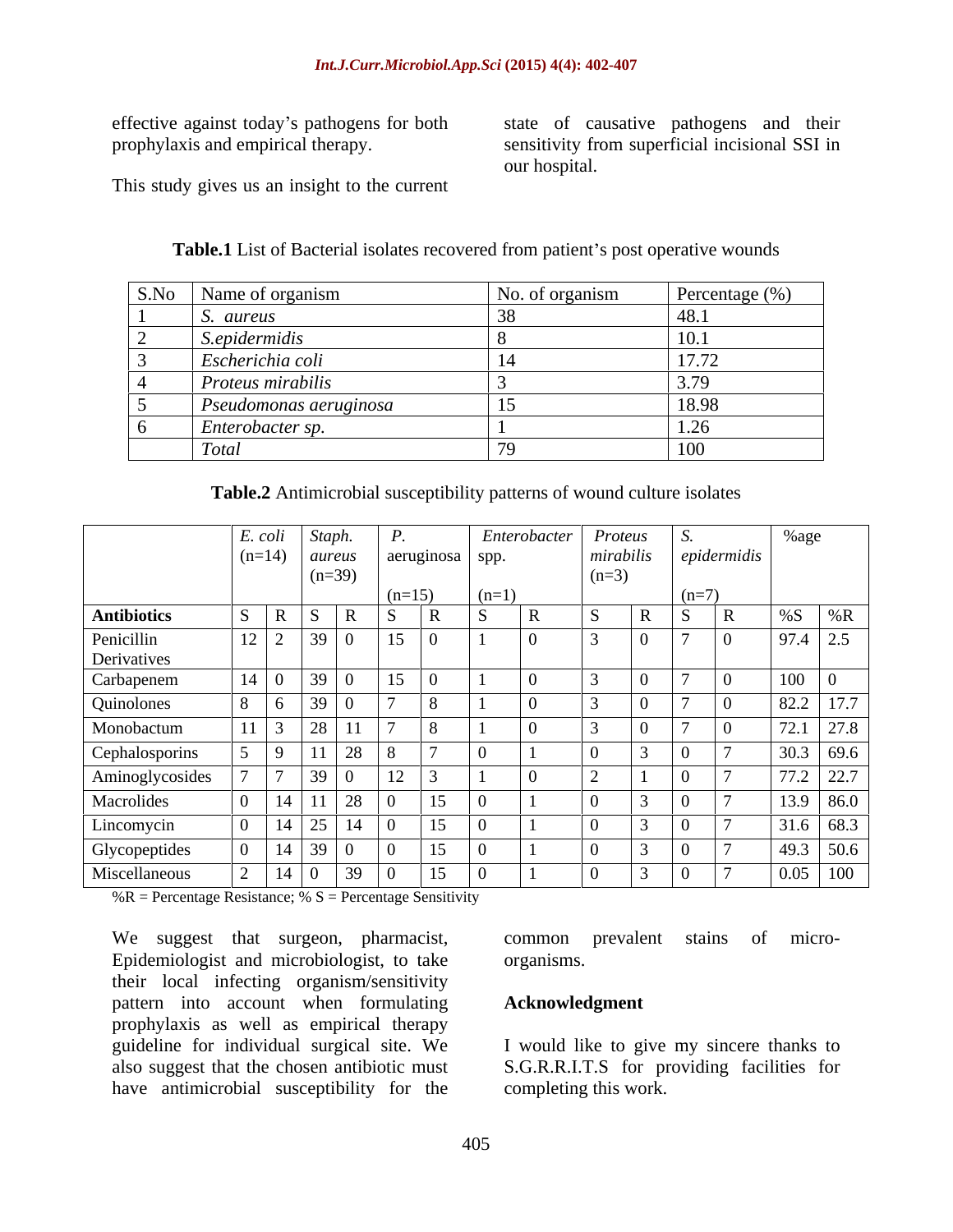effective against today's pathogens for both state of causative pathogens and their prophylaxis and empirical therapy. sensitivity from superficial incisional SSI in our hospital.

This study gives us an insight to the current

| S.No Name of organism  | No. of organism | Percentage (%) |
|------------------------|-----------------|----------------|
| S. aureus              |                 |                |
| S.epidermidis          |                 |                |
| Escherichia coli       |                 | 1772<br>11.12  |
| Proteus mirabilis      |                 |                |
| Pseudomonas aeruginosa |                 | 18.98          |
| Enterobacter sp.       |                 |                |
| 1 otal                 |                 | 100            |

**Table.1** List of Bacterial isolates recovered from patient's post operative wounds

**Table.2** Antimicrobial susceptibility patterns of wound culture isolates

|                    | E. coli     |                 | Staph.                |                |                   |         | Enterobacter |         | Proteus   |         |             | %age |             |
|--------------------|-------------|-----------------|-----------------------|----------------|-------------------|---------|--------------|---------|-----------|---------|-------------|------|-------------|
|                    |             | $(n=14)$ aureus |                       |                | aeruginosa   spp. |         |              |         | mirabilis |         | epidermidis |      |             |
|                    |             |                 | $(n=39)$              |                |                   |         |              | $(n=3)$ |           |         |             |      |             |
|                    |             |                 |                       |                | $(n=15)$          | $(n=1)$ |              |         |           | $(n=7)$ |             |      |             |
| <b>Antibiotics</b> |             |                 |                       |                |                   |         |              |         |           |         |             |      |             |
| Penicillin         | $12 \mid 2$ |                 | $39 \mid 0$           |                | $15 \quad 0$      |         |              |         |           |         | $\Box$ 0    |      | $97.4$ 2.5  |
| Derivatives        |             |                 |                       |                |                   |         |              |         |           |         |             |      |             |
| Carbapenem         | $14 \mid 0$ |                 | 39 <sup>1</sup> 0     |                | $15 \quad 0$      |         |              |         |           |         |             | 100  |             |
| Quinolones         |             |                 | 30 <sup>°</sup>       |                |                   |         |              |         |           |         |             | 82.2 | 17.7        |
| Monobactum         |             |                 | $28 \mid 11$          | $\overline{ }$ |                   |         |              |         |           |         |             | 72.1 | 27.8        |
| Cephalosporins     |             |                 | 28                    |                |                   |         |              |         |           |         |             |      | $30.3$ 69.6 |
| Aminoglycosides    |             |                 | 39 <sup>1</sup>       |                | 12                |         |              |         |           |         |             |      | 77.2 22.7   |
|                    |             |                 |                       |                |                   |         |              |         |           |         |             |      |             |
| Macrolides         |             | 14              | 28<br>$\overline{11}$ |                |                   |         |              |         |           |         |             |      | $13.9$ 86.0 |
| Lincomycin         |             |                 | 25 14                 |                |                   |         |              |         |           |         |             |      | $31.6$ 68.3 |
| Glycopeptides      |             |                 | 39 <sup>1</sup>       |                |                   |         |              |         |           |         |             |      | $49.3$ 50.6 |
| Miscellaneous      |             | 14<br>$\theta$  |                       | $39 \mid 0$    | 15                |         |              |         |           |         |             |      | $0.05$ 100  |

 $% R$  = Percentage Resistance;  $% S$  = Percentage Sensitivity

We suggest that surgeon, pharmacist, common prevalent stains of micro-Epidemiologist and microbiologist, to take their local infecting organism/sensitivity pattern into account when formulating prophylaxis as well as empirical therapy guideline for individual surgical site. We I would like to give my sincere thanks to also suggest that the chosen antibiotic must S.G.R.R.I.T.S for providing facilities for have antimicrobial susceptibility for the

common prevalent stains of micro organisms.

### **Acknowledgment**

completing this work.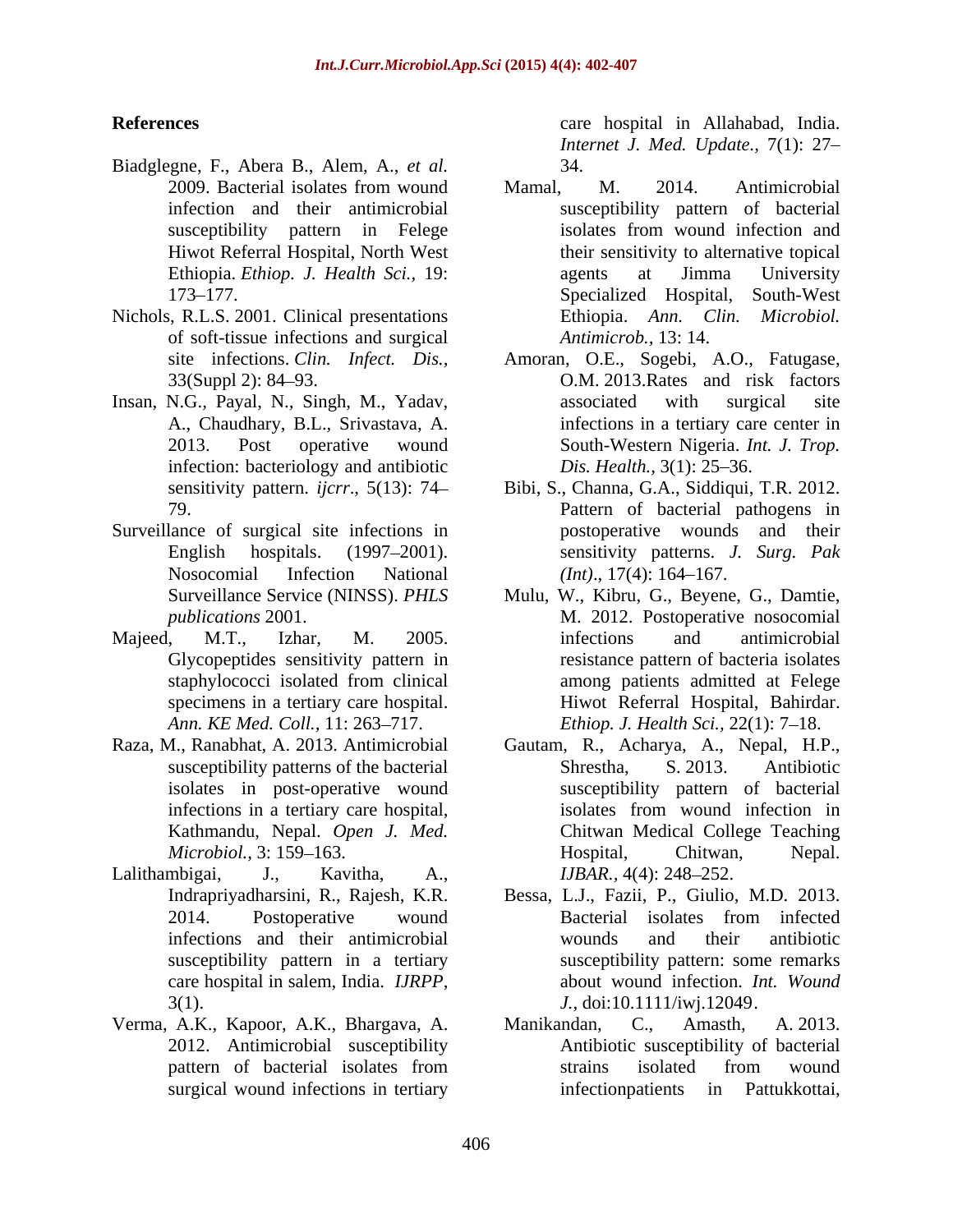- Biadglegne, F., Abera B., Alem, A., *et al.*
- Nichols, R.L.S. 2001. Clinical presentations of soft-tissue infections and surgical site infections. *Clin. Infect. Dis., Antimicrob.,* 13: 14. Amoran, O.E., Sogebi, A.O., Fatugase,
- Insan, N.G.*,* Payal, N.*,* Singh, M., Yadav, infection: bacteriology and antibiotic Dis. Health., 3(1): 25–36.
- Surveillance of surgical site infections in
- 
- 
- Lalithambigai, J., Kavitha, A., susceptibility pattern in a tertiary
- Verma, A.K., Kapoor, A.K., Bhargava, A.

**References** care hospital in Allahabad, India. *Internet J. Med. Update.,* 7(1): 27 34.

- 2009. Bacterial isolates from wound Mamal, M. 2014. Antimicrobial infection and their antimicrobial susceptibility pattern of bacterial susceptibility pattern in Felege isolates from wound infection and Hiwot Referral Hospital, North West their sensitivity to alternative topical Ethiopia. *Ethiop. J. Health Sci.,* 19: 173 177. Specialized Hospital, South-West Mamal, M. 2014. Antimicrobial isolates from wound infection and agents at Jimma University Ethiopia. *Ann. Clin. Microbiol.*
- 33(Suppl 2): 84 93. O.M. 2013.Rates and risk factors A., Chaudhary, B.L.*,* Srivastava, A. infections in a tertiary care center in 2013. Post operative wound South-Western Nigeria. *Int. J. Trop.* associated with surgical site *Dis. Health.,* 3(1): 25–36.
- sensitivity pattern. *ijcrr*., 5(13): 74 Bibi, S., Channa, G.A., Siddiqui, T.R. 2012. 79. Pattern of bacterial pathogens in English hospitals. (1997 2001). sensitivity patterns. *J. Surg. Pak* Nosocomial Infection National  $(Int), 17(4): 164-167.$ postoperative wounds and their *(Int).*, 17(4): 164–167.
- Surveillance Service (NINSS). *PHLS*  Mulu, W., Kibru, G., Beyene, G., Damtie, *publications* 2001. M. 2012. Postoperative nosocomial Majeed, M.T., Izhar, M. 2005. Glycopeptides sensitivity pattern in resistance pattern of bacteria isolates staphylococci isolated from clinical specimens in a tertiary care hospital. Hiwot Referral Hospital, Bahirdar. *Ann. KE Med. Coll.,* 11: 263 717. *Ethiop. J. Health Sci.,* 22(1): 7 18. infections and antimicrobial among patients admitted at Felege
- Raza, M., Ranabhat, A. 2013. Antimicrobial Gautam, R., Acharya, A., Nepal, H.P., susceptibility patterns of the bacterial Shrestha, S. 2013. Antibiotic isolates in post-operative wound susceptibility pattern of bacterial infections in a tertiary care hospital, isolates from wound infection in Kathmandu, Nepal. *Open J. Med.* Chitwan Medical College Teaching *Microbiol.,* 3: 159 163. Shrestha, S. 2013. Antibiotic isolates from wound infection in Hospital, Chitwan, Nepal. *IJBAR.,* 4(4): 248–252.
	- Indrapriyadharsini, R., Rajesh, K.R. Bessa, L.J., Fazii, P., Giulio, M.D. 2013. 2014. Postoperative wound infections and their antimicrobial care hospital in salem, India. *IJRPP*, about wound infection. *Int. Wound*<br>3(1). <br>*J.*, doi:10.1111/iwj.12049. Bacterial isolates from infected wounds and their antibiotic susceptibility pattern: some remarks about wound infection. *Int. Wound J.,* doi:10.1111/iwj.12049.
	- 2012. Antimicrobial susceptibility Antibiotic susceptibility of bacterial pattern of bacterial isolates from strains isolated from wound surgical wound infections in tertiary example infection in tertiary infection at the Pattukkottai. Manikandan, C., Amasth, A. 2013. strains isolated from wound infectionpatients in Pattukkottai,